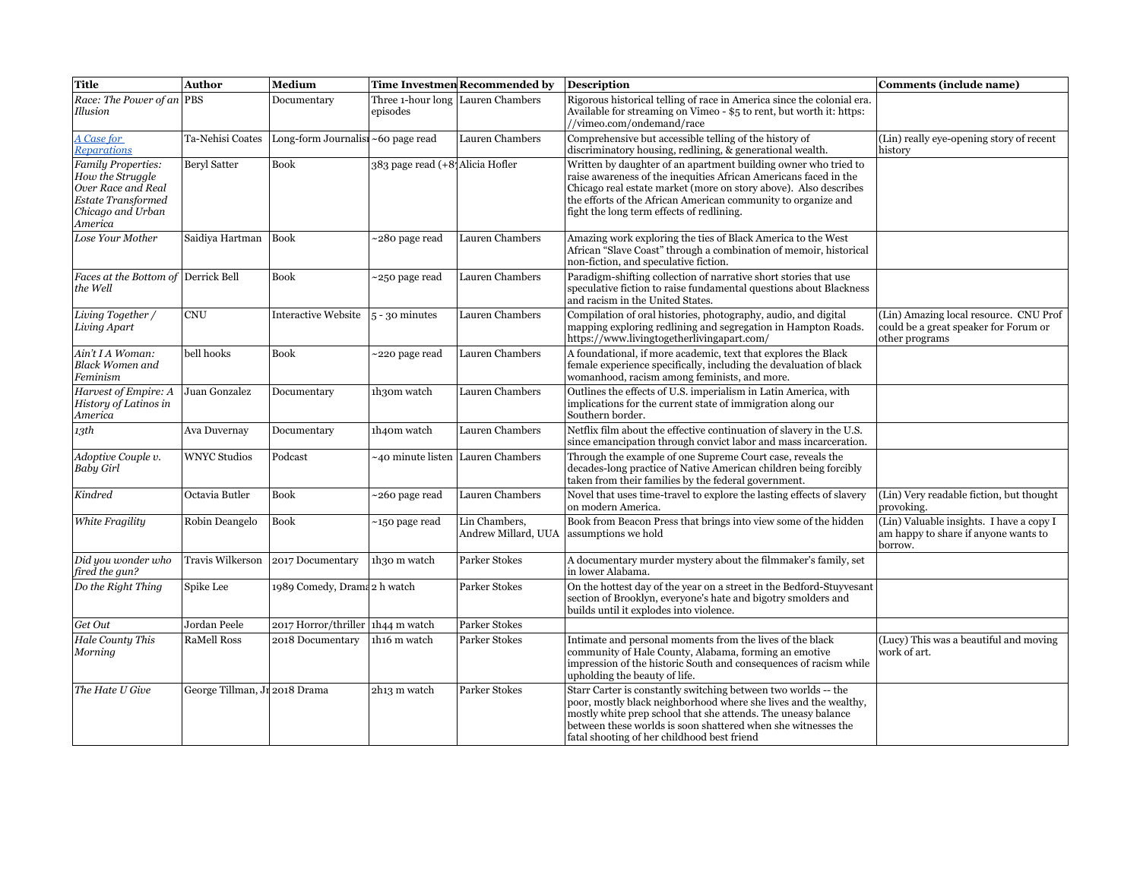| <b>Title</b>                                                                                                                     | Author                        | Medium                             |                                 | Time Investmen Recommended by        | Description                                                                                                                                                                                                                                                                                                           | Comments (include name)                                                                           |
|----------------------------------------------------------------------------------------------------------------------------------|-------------------------------|------------------------------------|---------------------------------|--------------------------------------|-----------------------------------------------------------------------------------------------------------------------------------------------------------------------------------------------------------------------------------------------------------------------------------------------------------------------|---------------------------------------------------------------------------------------------------|
| Race: The Power of an PBS<br>Illusion                                                                                            |                               | Documentary                        | episodes                        | Three 1-hour long Lauren Chambers    | Rigorous historical telling of race in America since the colonial era.<br>Available for streaming on Vimeo - \$5 to rent, but worth it: https:<br>//vimeo.com/ondemand/race                                                                                                                                           |                                                                                                   |
| A Case for<br>Reparations                                                                                                        | Ta-Nehisi Coates              | Long-form Journalist ~60 page read |                                 | Lauren Chambers                      | Comprehensive but accessible telling of the history of<br>discriminatory housing, redlining, & generational wealth.                                                                                                                                                                                                   | (Lin) really eye-opening story of recent<br>history                                               |
| <b>Family Properties:</b><br>How the Struggle<br>Over Race and Real<br><b>Estate Transformed</b><br>Chicago and Urban<br>America | <b>Beryl Satter</b>           | <b>Book</b>                        | 383 page read (+8 Alicia Hofler |                                      | Written by daughter of an apartment building owner who tried to<br>raise awareness of the inequities African Americans faced in the<br>Chicago real estate market (more on story above). Also describes<br>the efforts of the African American community to organize and<br>fight the long term effects of redlining. |                                                                                                   |
| Lose Your Mother                                                                                                                 | Saidiya Hartman               | <b>Book</b>                        | ~280 page read                  | Lauren Chambers                      | Amazing work exploring the ties of Black America to the West<br>African "Slave Coast" through a combination of memoir, historical<br>non-fiction, and speculative fiction.                                                                                                                                            |                                                                                                   |
| Faces at the Bottom of Derrick Bell<br>the Well                                                                                  |                               | <b>Book</b>                        | ~250 page read                  | Lauren Chambers                      | Paradigm-shifting collection of narrative short stories that use<br>speculative fiction to raise fundamental questions about Blackness<br>and racism in the United States.                                                                                                                                            |                                                                                                   |
| Living Together /<br>Living Apart                                                                                                | <b>CNU</b>                    | <b>Interactive Website</b>         | $5 - 30$ minutes                | Lauren Chambers                      | Compilation of oral histories, photography, audio, and digital<br>mapping exploring redlining and segregation in Hampton Roads.<br>https://www.livingtogetherlivingapart.com/                                                                                                                                         | (Lin) Amazing local resource. CNU Prof<br>could be a great speaker for Forum or<br>other programs |
| Ain't I A Woman:<br><b>Black Women and</b><br>Feminism                                                                           | bell hooks                    | <b>Book</b>                        | ~220 page read                  | Lauren Chambers                      | A foundational, if more academic, text that explores the Black<br>female experience specifically, including the devaluation of black<br>womanhood, racism among feminists, and more.                                                                                                                                  |                                                                                                   |
| Harvest of Empire: A<br>History of Latinos in<br>America                                                                         | Juan Gonzalez                 | Documentary                        | 1h30m watch                     | Lauren Chambers                      | Outlines the effects of U.S. imperialism in Latin America, with<br>implications for the current state of immigration along our<br>Southern border.                                                                                                                                                                    |                                                                                                   |
| 13th                                                                                                                             | Ava Duvernay                  | Documentary                        | 1h40m watch                     | Lauren Chambers                      | Netflix film about the effective continuation of slavery in the U.S.<br>since emancipation through convict labor and mass incarceration.                                                                                                                                                                              |                                                                                                   |
| Adoptive Couple v.<br><b>Baby Girl</b>                                                                                           | <b>WNYC Studios</b>           | Podcast                            |                                 | -40 minute listen   Lauren Chambers  | Through the example of one Supreme Court case, reveals the<br>decades-long practice of Native American children being forcibly<br>taken from their families by the federal government.                                                                                                                                |                                                                                                   |
| Kindred                                                                                                                          | Octavia Butler                | <b>Book</b>                        | ~260 page read                  | Lauren Chambers                      | Novel that uses time-travel to explore the lasting effects of slavery<br>on modern America.                                                                                                                                                                                                                           | (Lin) Very readable fiction, but thought<br>provoking.                                            |
| White Fragility                                                                                                                  | Robin Deangelo                | <b>Book</b>                        | ~150 page read                  | Lin Chambers.<br>Andrew Millard, UUA | Book from Beacon Press that brings into view some of the hidden<br>assumptions we hold                                                                                                                                                                                                                                | (Lin) Valuable insights. I have a copy I<br>am happy to share if anyone wants to<br>borrow.       |
| Did you wonder who<br>fired the gun?                                                                                             | Travis Wilkerson              | 2017 Documentary                   | 1h30 m watch                    | <b>Parker Stokes</b>                 | A documentary murder mystery about the filmmaker's family, set<br>in lower Alabama.                                                                                                                                                                                                                                   |                                                                                                   |
| Do the Right Thing                                                                                                               | Spike Lee                     | 1989 Comedy, Drama 2 h watch       |                                 | Parker Stokes                        | On the hottest day of the year on a street in the Bedford-Stuyvesant<br>section of Brooklyn, everyone's hate and bigotry smolders and<br>builds until it explodes into violence.                                                                                                                                      |                                                                                                   |
| Get Out                                                                                                                          | Jordan Peele                  | 2017 Horror/thriller 1h44 m watch  |                                 | <b>Parker Stokes</b>                 |                                                                                                                                                                                                                                                                                                                       |                                                                                                   |
| Hale County This<br>Morning                                                                                                      | <b>RaMell Ross</b>            | 2018 Documentary                   | 1h16 m watch                    | Parker Stokes                        | Intimate and personal moments from the lives of the black<br>community of Hale County, Alabama, forming an emotive<br>impression of the historic South and consequences of racism while<br>upholding the beauty of life.                                                                                              | (Lucy) This was a beautiful and moving<br>work of art.                                            |
| The Hate U Give                                                                                                                  | George Tillman, Jr 2018 Drama |                                    | 2h13 m watch                    | Parker Stokes                        | Starr Carter is constantly switching between two worlds -- the<br>poor, mostly black neighborhood where she lives and the wealthy,<br>mostly white prep school that she attends. The uneasy balance<br>between these worlds is soon shattered when she witnesses the<br>fatal shooting of her childhood best friend   |                                                                                                   |